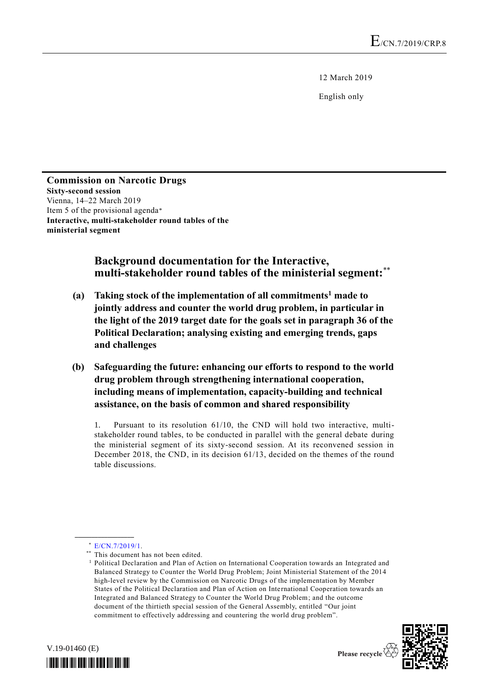12 March 2019

English only

#### **Commission on Narcotic Drugs Sixty-second session** Vienna, 14–22 March 2019 Item 5 of the provisional agenda\* **Interactive, multi-stakeholder round tables of the ministerial segment**

#### **Background documentation for the Interactive, multi-stakeholder round tables of the ministerial segment:**\*\*

- **(a) Taking stock of the implementation of all commitments<sup>1</sup> made to jointly address and counter the world drug problem, in particular in the light of the 2019 target date for the goals set in paragraph 36 of the Political Declaration; analysing existing and emerging trends, gaps and challenges**
- **(b) Safeguarding the future: enhancing our efforts to respond to the world drug problem through strengthening international cooperation, including means of implementation, capacity-building and technical assistance, on the basis of common and shared responsibility**

1. Pursuant to its resolution 61/10, the CND will hold two interactive, multistakeholder round tables, to be conducted in parallel with the general debate during the ministerial segment of its sixty-second session. At its reconvened session in December 2018, the CND, in its decision 61/13, decided on the themes of the round table discussions.

**\_\_\_\_\_\_\_\_\_\_\_\_\_\_\_\_\_\_**

<sup>&</sup>lt;sup>1</sup> Political Declaration and Plan of Action on International Cooperation towards an Integrated and Balanced Strategy to Counter the World Drug Problem; Joint Ministerial Statement of the 2014 high-level review by the Commission on Narcotic Drugs of the implementation by Member States of the Political Declaration and Plan of Action on International Cooperation towards an Integrated and Balanced Strategy to Counter the World Drug Problem; and the outcome document of the thirtieth special session of the General Assembly, entitled "Our joint commitment to effectively addressing and countering the world drug problem".





<sup>\*</sup> [E/CN.7/2019/1.](http://undocs.org/E/CN.7/2019/1)

<sup>\*\*</sup> This document has not been edited.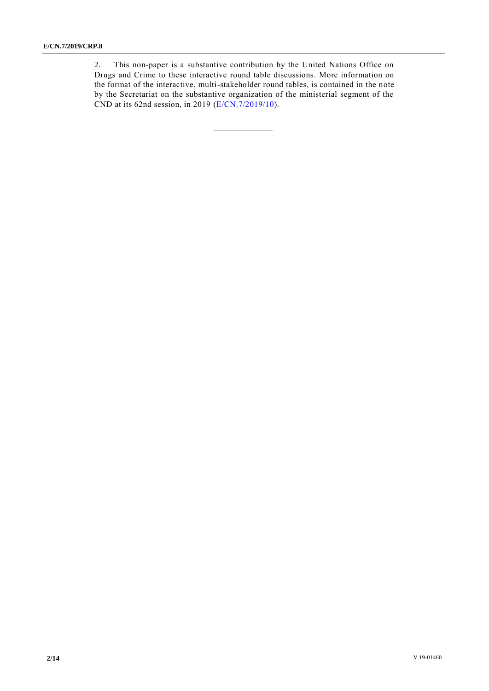2. This non-paper is a substantive contribution by the United Nations Office on Drugs and Crime to these interactive round table discussions. More information on the format of the interactive, multi-stakeholder round tables, is contained in the note by the Secretariat on the substantive organization of the ministerial segment of the CND at its 62nd session, in 2019 [\(E/CN.7/2019/10\)](http://undocs.org/E/CN.7/2019/10).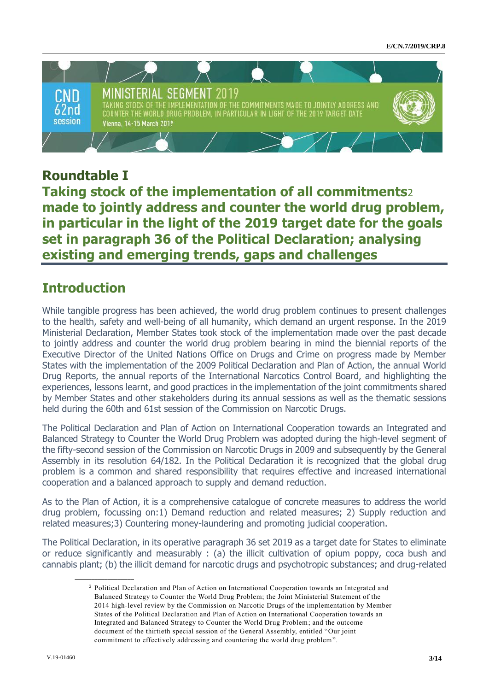

#### **Roundtable I**

**Taking stock of the implementation of all commitments**2 **made to jointly address and counter the world drug problem, in particular in the light of the 2019 target date for the goals set in paragraph 36 of the Political Declaration; analysing existing and emerging trends, gaps and challenges**

#### **Introduction**

While tangible progress has been achieved, the world drug problem continues to present challenges to the health, safety and well-being of all humanity, which demand an urgent response. In the 2019 Ministerial Declaration, Member States took stock of the implementation made over the past decade to jointly address and counter the world drug problem bearing in mind the biennial reports of the Executive Director of the United Nations Office on Drugs and Crime on progress made by Member States with the implementation of the 2009 Political Declaration and Plan of Action, the annual World Drug Reports, the annual reports of the International Narcotics Control Board, and highlighting the experiences, lessons learnt, and good practices in the implementation of the joint commitments shared by Member States and other stakeholders during its annual sessions as well as the thematic sessions held during the 60th and 61st session of the Commission on Narcotic Drugs.

The Political Declaration and Plan of Action on International Cooperation towards an Integrated and Balanced Strategy to Counter the World Drug Problem was adopted during the high-level segment of the fifty-second session of the Commission on Narcotic Drugs in 2009 and subsequently by the General Assembly in its resolution 64/182. In the Political Declaration it is recognized that the global drug problem is a common and shared responsibility that requires effective and increased international cooperation and a balanced approach to supply and demand reduction.

As to the Plan of Action, it is a comprehensive catalogue of concrete measures to address the world drug problem, focussing on:1) Demand reduction and related measures; 2) Supply reduction and related measures;3) Countering money-laundering and promoting judicial cooperation.

The Political Declaration, in its operative paragraph 36 set 2019 as a target date for States to eliminate or reduce significantly and measurably : (a) the illicit cultivation of opium poppy, coca bush and cannabis plant; (b) the illicit demand for narcotic drugs and psychotropic substances; and drug-related

**\_\_\_\_\_\_\_\_\_\_\_\_\_\_\_\_\_\_**

<sup>2</sup> Political Declaration and Plan of Action on International Cooperation towards an Integrated and Balanced Strategy to Counter the World Drug Problem; the Joint Ministerial Statement of the 2014 high-level review by the Commission on Narcotic Drugs of the implementation by Member States of the Political Declaration and Plan of Action on International Cooperation towards an Integrated and Balanced Strategy to Counter the World Drug Problem; and the outcome document of the thirtieth special session of the General Assembly, entitled "Our joint commitment to effectively addressing and countering the world drug problem".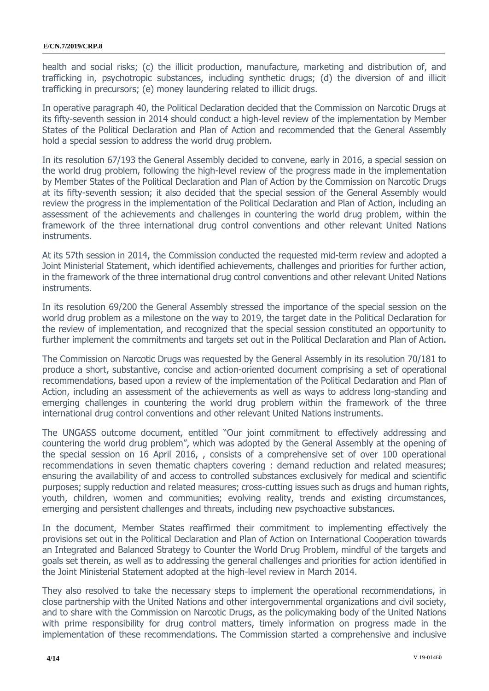health and social risks; (c) the illicit production, manufacture, marketing and distribution of, and trafficking in, psychotropic substances, including synthetic drugs; (d) the diversion of and illicit trafficking in precursors; (e) money laundering related to illicit drugs.

In operative paragraph 40, the Political Declaration decided that the Commission on Narcotic Drugs at its fifty-seventh session in 2014 should conduct a high-level review of the implementation by Member States of the Political Declaration and Plan of Action and recommended that the General Assembly hold a special session to address the world drug problem.

In its resolution 67/193 the General Assembly decided to convene, early in 2016, a special session on the world drug problem, following the high-level review of the progress made in the implementation by Member States of the Political Declaration and Plan of Action by the Commission on Narcotic Drugs at its fifty-seventh session; it also decided that the special session of the General Assembly would review the progress in the implementation of the Political Declaration and Plan of Action, including an assessment of the achievements and challenges in countering the world drug problem, within the framework of the three international drug control conventions and other relevant United Nations instruments.

At its 57th session in 2014, the Commission conducted the requested mid-term review and adopted a Joint Ministerial Statement, which identified achievements, challenges and priorities for further action, in the framework of the three international drug control conventions and other relevant United Nations instruments.

In its resolution 69/200 the General Assembly stressed the importance of the special session on the world drug problem as a milestone on the way to 2019, the target date in the Political Declaration for the review of implementation, and recognized that the special session constituted an opportunity to further implement the commitments and targets set out in the Political Declaration and Plan of Action.

The Commission on Narcotic Drugs was requested by the General Assembly in its resolution 70/181 to produce a short, substantive, concise and action-oriented document comprising a set of operational recommendations, based upon a review of the implementation of the Political Declaration and Plan of Action, including an assessment of the achievements as well as ways to address long-standing and emerging challenges in countering the world drug problem within the framework of the three international drug control conventions and other relevant United Nations instruments.

The UNGASS outcome document, entitled "Our joint commitment to effectively addressing and countering the world drug problem", which was adopted by the General Assembly at the opening of the special session on 16 April 2016, , consists of a comprehensive set of over 100 operational recommendations in seven thematic chapters covering : demand reduction and related measures; ensuring the availability of and access to controlled substances exclusively for medical and scientific purposes; supply reduction and related measures; cross-cutting issues such as drugs and human rights, youth, children, women and communities; evolving reality, trends and existing circumstances, emerging and persistent challenges and threats, including new psychoactive substances.

In the document, Member States reaffirmed their commitment to implementing effectively the provisions set out in the Political Declaration and Plan of Action on International Cooperation towards an Integrated and Balanced Strategy to Counter the World Drug Problem, mindful of the targets and goals set therein, as well as to addressing the general challenges and priorities for action identified in the Joint Ministerial Statement adopted at the high-level review in March 2014.

They also resolved to take the necessary steps to implement the operational recommendations, in close partnership with the United Nations and other intergovernmental organizations and civil society, and to share with the Commission on Narcotic Drugs, as the policymaking body of the United Nations with prime responsibility for drug control matters, timely information on progress made in the implementation of these recommendations. The Commission started a comprehensive and inclusive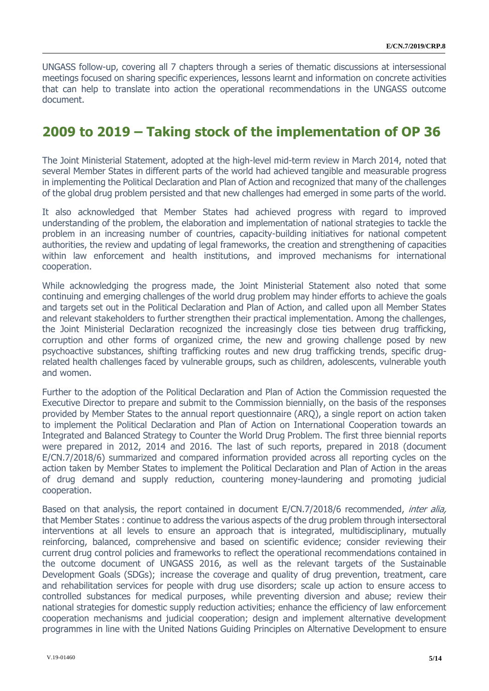UNGASS follow-up, covering all 7 chapters through a series of thematic discussions at intersessional meetings focused on sharing specific experiences, lessons learnt and information on concrete activities that can help to translate into action the operational recommendations in the UNGASS outcome document.

#### **2009 to 2019 – Taking stock of the implementation of OP 36**

The Joint Ministerial Statement, adopted at the high-level mid-term review in March 2014, noted that several Member States in different parts of the world had achieved tangible and measurable progress in implementing the Political Declaration and Plan of Action and recognized that many of the challenges of the global drug problem persisted and that new challenges had emerged in some parts of the world.

It also acknowledged that Member States had achieved progress with regard to improved understanding of the problem, the elaboration and implementation of national strategies to tackle the problem in an increasing number of countries, capacity-building initiatives for national competent authorities, the review and updating of legal frameworks, the creation and strengthening of capacities within law enforcement and health institutions, and improved mechanisms for international cooperation.

While acknowledging the progress made, the Joint Ministerial Statement also noted that some continuing and emerging challenges of the world drug problem may hinder efforts to achieve the goals and targets set out in the Political Declaration and Plan of Action, and called upon all Member States and relevant stakeholders to further strengthen their practical implementation. Among the challenges, the Joint Ministerial Declaration recognized the increasingly close ties between drug trafficking, corruption and other forms of organized crime, the new and growing challenge posed by new psychoactive substances, shifting trafficking routes and new drug trafficking trends, specific drugrelated health challenges faced by vulnerable groups, such as children, adolescents, vulnerable youth and women.

Further to the adoption of the Political Declaration and Plan of Action the Commission requested the Executive Director to prepare and submit to the Commission biennially, on the basis of the responses provided by Member States to the annual report questionnaire (ARQ), a single report on action taken to implement the Political Declaration and Plan of Action on International Cooperation towards an Integrated and Balanced Strategy to Counter the World Drug Problem. The first three biennial reports were prepared in 2012, 2014 and 2016. The last of such reports, prepared in 2018 (document E/CN.7/2018/6) summarized and compared information provided across all reporting cycles on the action taken by Member States to implement the Political Declaration and Plan of Action in the areas of drug demand and supply reduction, countering money-laundering and promoting judicial cooperation.

Based on that analysis, the report contained in document E/CN.7/2018/6 recommended, *inter alia,* that Member States : continue to address the various aspects of the drug problem through intersectoral interventions at all levels to ensure an approach that is integrated, multidisciplinary, mutually reinforcing, balanced, comprehensive and based on scientific evidence; consider reviewing their current drug control policies and frameworks to reflect the operational recommendations contained in the outcome document of UNGASS 2016, as well as the relevant targets of the Sustainable Development Goals (SDGs); increase the coverage and quality of drug prevention, treatment, care and rehabilitation services for people with drug use disorders; scale up action to ensure access to controlled substances for medical purposes, while preventing diversion and abuse; review their national strategies for domestic supply reduction activities; enhance the efficiency of law enforcement cooperation mechanisms and judicial cooperation; design and implement alternative development programmes in line with the United Nations Guiding Principles on Alternative Development to ensure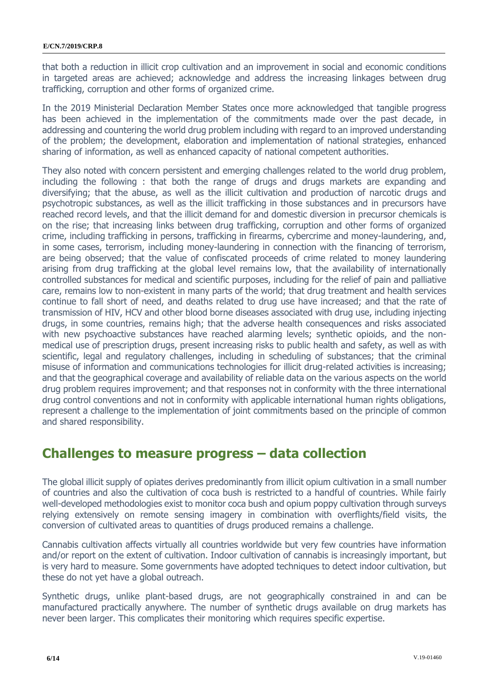that both a reduction in illicit crop cultivation and an improvement in social and economic conditions in targeted areas are achieved; acknowledge and address the increasing linkages between drug trafficking, corruption and other forms of organized crime.

In the 2019 Ministerial Declaration Member States once more acknowledged that tangible progress has been achieved in the implementation of the commitments made over the past decade, in addressing and countering the world drug problem including with regard to an improved understanding of the problem; the development, elaboration and implementation of national strategies, enhanced sharing of information, as well as enhanced capacity of national competent authorities.

They also noted with concern persistent and emerging challenges related to the world drug problem, including the following : that both the range of drugs and drugs markets are expanding and diversifying; that the abuse, as well as the illicit cultivation and production of narcotic drugs and psychotropic substances, as well as the illicit trafficking in those substances and in precursors have reached record levels, and that the illicit demand for and domestic diversion in precursor chemicals is on the rise; that increasing links between drug trafficking, corruption and other forms of organized crime, including trafficking in persons, trafficking in firearms, cybercrime and money-laundering, and, in some cases, terrorism, including money-laundering in connection with the financing of terrorism, are being observed; that the value of confiscated proceeds of crime related to money laundering arising from drug trafficking at the global level remains low, that the availability of internationally controlled substances for medical and scientific purposes, including for the relief of pain and palliative care, remains low to non-existent in many parts of the world; that drug treatment and health services continue to fall short of need, and deaths related to drug use have increased; and that the rate of transmission of HIV, HCV and other blood borne diseases associated with drug use, including injecting drugs, in some countries, remains high; that the adverse health consequences and risks associated with new psychoactive substances have reached alarming levels; synthetic opioids, and the nonmedical use of prescription drugs, present increasing risks to public health and safety, as well as with scientific, legal and regulatory challenges, including in scheduling of substances; that the criminal misuse of information and communications technologies for illicit drug-related activities is increasing; and that the geographical coverage and availability of reliable data on the various aspects on the world drug problem requires improvement; and that responses not in conformity with the three international drug control conventions and not in conformity with applicable international human rights obligations, represent a challenge to the implementation of joint commitments based on the principle of common and shared responsibility.

#### **Challenges to measure progress – data collection**

The global illicit supply of opiates derives predominantly from illicit opium cultivation in a small number of countries and also the cultivation of coca bush is restricted to a handful of countries. While fairly well-developed methodologies exist to monitor coca bush and opium poppy cultivation through surveys relying extensively on remote sensing imagery in combination with overflights/field visits, the conversion of cultivated areas to quantities of drugs produced remains a challenge.

Cannabis cultivation affects virtually all countries worldwide but very few countries have information and/or report on the extent of cultivation. Indoor cultivation of cannabis is increasingly important, but is very hard to measure. Some governments have adopted techniques to detect indoor cultivation, but these do not yet have a global outreach.

Synthetic drugs, unlike plant-based drugs, are not geographically constrained in and can be manufactured practically anywhere. The number of synthetic drugs available on drug markets has never been larger. This complicates their monitoring which requires specific expertise.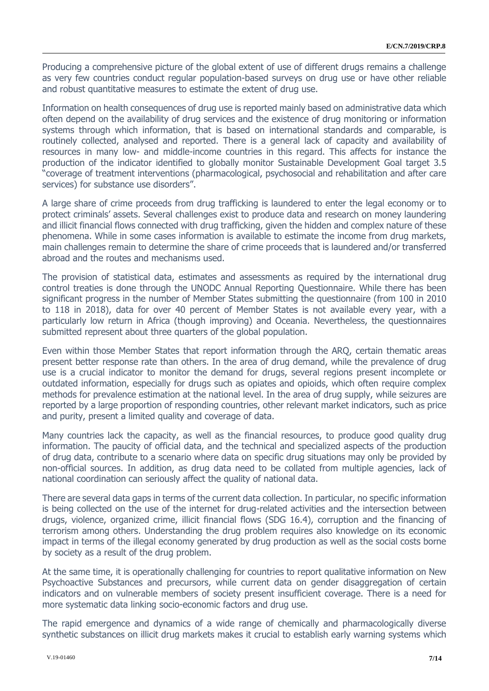Producing a comprehensive picture of the global extent of use of different drugs remains a challenge as very few countries conduct regular population-based surveys on drug use or have other reliable and robust quantitative measures to estimate the extent of drug use.

Information on health consequences of drug use is reported mainly based on administrative data which often depend on the availability of drug services and the existence of drug monitoring or information systems through which information, that is based on international standards and comparable, is routinely collected, analysed and reported. There is a general lack of capacity and availability of resources in many low- and middle-income countries in this regard. This affects for instance the production of the indicator identified to globally monitor Sustainable Development Goal target 3.5 "coverage of treatment interventions (pharmacological, psychosocial and rehabilitation and after care services) for substance use disorders".

A large share of crime proceeds from drug trafficking is laundered to enter the legal economy or to protect criminals' assets. Several challenges exist to produce data and research on money laundering and illicit financial flows connected with drug trafficking, given the hidden and complex nature of these phenomena. While in some cases information is available to estimate the income from drug markets, main challenges remain to determine the share of crime proceeds that is laundered and/or transferred abroad and the routes and mechanisms used.

The provision of statistical data, estimates and assessments as required by the international drug control treaties is done through the UNODC Annual Reporting Questionnaire. While there has been significant progress in the number of Member States submitting the questionnaire (from 100 in 2010 to 118 in 2018), data for over 40 percent of Member States is not available every year, with a particularly low return in Africa (though improving) and Oceania. Nevertheless, the questionnaires submitted represent about three quarters of the global population.

Even within those Member States that report information through the ARQ, certain thematic areas present better response rate than others. In the area of drug demand, while the prevalence of drug use is a crucial indicator to monitor the demand for drugs, several regions present incomplete or outdated information, especially for drugs such as opiates and opioids, which often require complex methods for prevalence estimation at the national level. In the area of drug supply, while seizures are reported by a large proportion of responding countries, other relevant market indicators, such as price and purity, present a limited quality and coverage of data.

Many countries lack the capacity, as well as the financial resources, to produce good quality drug information. The paucity of official data, and the technical and specialized aspects of the production of drug data, contribute to a scenario where data on specific drug situations may only be provided by non-official sources. In addition, as drug data need to be collated from multiple agencies, lack of national coordination can seriously affect the quality of national data.

There are several data gaps in terms of the current data collection. In particular, no specific information is being collected on the use of the internet for drug-related activities and the intersection between drugs, violence, organized crime, illicit financial flows (SDG 16.4), corruption and the financing of terrorism among others. Understanding the drug problem requires also knowledge on its economic impact in terms of the illegal economy generated by drug production as well as the social costs borne by society as a result of the drug problem.

At the same time, it is operationally challenging for countries to report qualitative information on New Psychoactive Substances and precursors, while current data on gender disaggregation of certain indicators and on vulnerable members of society present insufficient coverage. There is a need for more systematic data linking socio-economic factors and drug use.

The rapid emergence and dynamics of a wide range of chemically and pharmacologically diverse synthetic substances on illicit drug markets makes it crucial to establish early warning systems which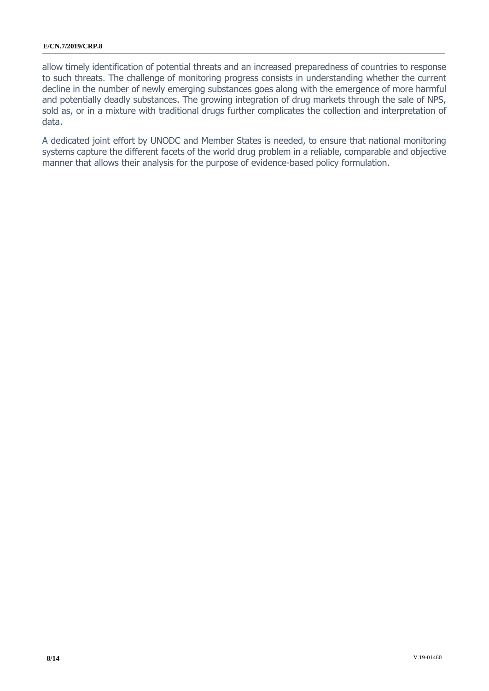allow timely identification of potential threats and an increased preparedness of countries to response to such threats. The challenge of monitoring progress consists in understanding whether the current decline in the number of newly emerging substances goes along with the emergence of more harmful and potentially deadly substances. The growing integration of drug markets through the sale of NPS, sold as, or in a mixture with traditional drugs further complicates the collection and interpretation of data.

A dedicated joint effort by UNODC and Member States is needed, to ensure that national monitoring systems capture the different facets of the world drug problem in a reliable, comparable and objective manner that allows their analysis for the purpose of evidence-based policy formulation.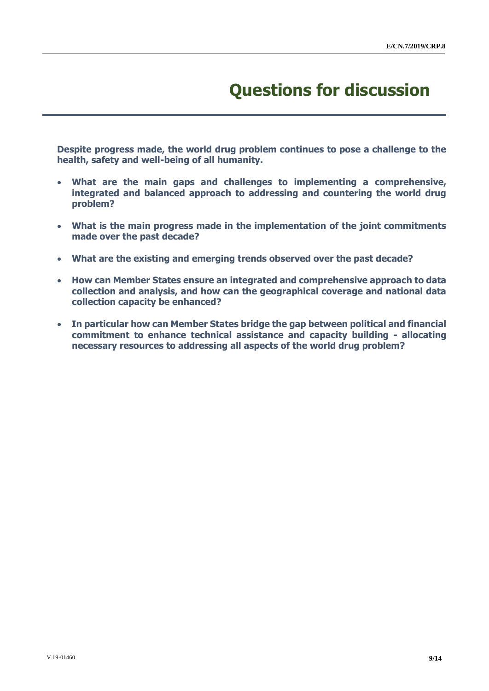# **Questions for discussion**

**Despite progress made, the world drug problem continues to pose a challenge to the health, safety and well-being of all humanity.** 

- **What are the main gaps and challenges to implementing a comprehensive, integrated and balanced approach to addressing and countering the world drug problem?**
- **What is the main progress made in the implementation of the joint commitments made over the past decade?**
- **What are the existing and emerging trends observed over the past decade?**
- **How can Member States ensure an integrated and comprehensive approach to data collection and analysis, and how can the geographical coverage and national data collection capacity be enhanced?**
- **In particular how can Member States bridge the gap between political and financial commitment to enhance technical assistance and capacity building - allocating necessary resources to addressing all aspects of the world drug problem?**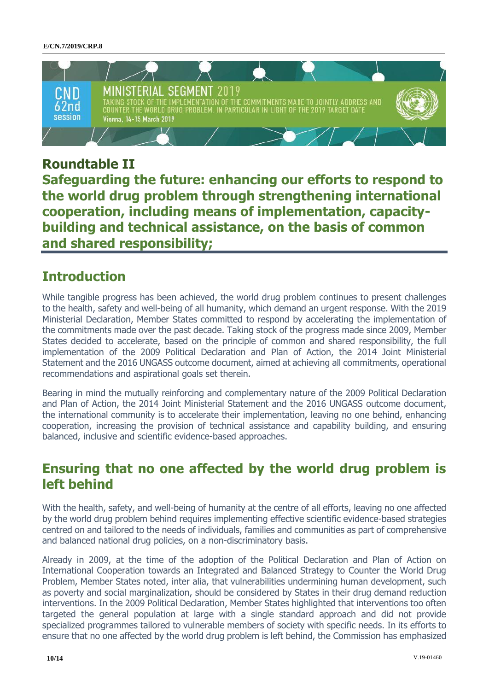

#### **Roundtable II**

**Safeguarding the future: enhancing our efforts to respond to the world drug problem through strengthening international cooperation, including means of implementation, capacitybuilding and technical assistance, on the basis of common and shared responsibility;** 

### **Introduction**

While tangible progress has been achieved, the world drug problem continues to present challenges to the health, safety and well-being of all humanity, which demand an urgent response. With the 2019 Ministerial Declaration, Member States committed to respond by accelerating the implementation of the commitments made over the past decade. Taking stock of the progress made since 2009, Member States decided to accelerate, based on the principle of common and shared responsibility, the full implementation of the 2009 Political Declaration and Plan of Action, the 2014 Joint Ministerial Statement and the 2016 UNGASS outcome document, aimed at achieving all commitments, operational recommendations and aspirational goals set therein.

Bearing in mind the mutually reinforcing and complementary nature of the 2009 Political Declaration and Plan of Action, the 2014 Joint Ministerial Statement and the 2016 UNGASS outcome document, the international community is to accelerate their implementation, leaving no one behind, enhancing cooperation, increasing the provision of technical assistance and capability building, and ensuring balanced, inclusive and scientific evidence-based approaches.

#### **Ensuring that no one affected by the world drug problem is left behind**

With the health, safety, and well-being of humanity at the centre of all efforts, leaving no one affected by the world drug problem behind requires implementing effective scientific evidence-based strategies centred on and tailored to the needs of individuals, families and communities as part of comprehensive and balanced national drug policies, on a non-discriminatory basis.

Already in 2009, at the time of the adoption of the Political Declaration and Plan of Action on International Cooperation towards an Integrated and Balanced Strategy to Counter the World Drug Problem, Member States noted, inter alia, that vulnerabilities undermining human development, such as poverty and social marginalization, should be considered by States in their drug demand reduction interventions. In the 2009 Political Declaration, Member States highlighted that interventions too often targeted the general population at large with a single standard approach and did not provide specialized programmes tailored to vulnerable members of society with specific needs. In its efforts to ensure that no one affected by the world drug problem is left behind, the Commission has emphasized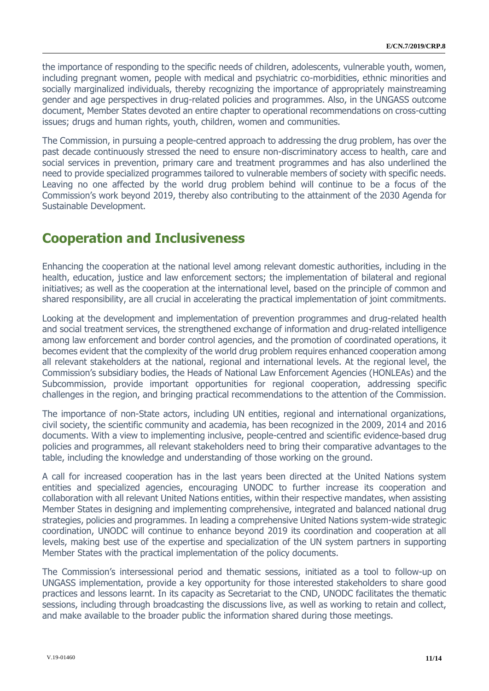the importance of responding to the specific needs of children, adolescents, vulnerable youth, women, including pregnant women, people with medical and psychiatric co-morbidities, ethnic minorities and socially marginalized individuals, thereby recognizing the importance of appropriately mainstreaming gender and age perspectives in drug-related policies and programmes. Also, in the UNGASS outcome document, Member States devoted an entire chapter to operational recommendations on cross-cutting issues; drugs and human rights, youth, children, women and communities.

The Commission, in pursuing a people-centred approach to addressing the drug problem, has over the past decade continuously stressed the need to ensure non-discriminatory access to health, care and social services in prevention, primary care and treatment programmes and has also underlined the need to provide specialized programmes tailored to vulnerable members of society with specific needs. Leaving no one affected by the world drug problem behind will continue to be a focus of the Commission's work beyond 2019, thereby also contributing to the attainment of the 2030 Agenda for Sustainable Development.

## **Cooperation and Inclusiveness**

Enhancing the cooperation at the national level among relevant domestic authorities, including in the health, education, justice and law enforcement sectors; the implementation of bilateral and regional initiatives; as well as the cooperation at the international level, based on the principle of common and shared responsibility, are all crucial in accelerating the practical implementation of joint commitments.

Looking at the development and implementation of prevention programmes and drug-related health and social treatment services, the strengthened exchange of information and drug-related intelligence among law enforcement and border control agencies, and the promotion of coordinated operations, it becomes evident that the complexity of the world drug problem requires enhanced cooperation among all relevant stakeholders at the national, regional and international levels. At the regional level, the Commission's subsidiary bodies, the Heads of National Law Enforcement Agencies (HONLEAs) and the Subcommission, provide important opportunities for regional cooperation, addressing specific challenges in the region, and bringing practical recommendations to the attention of the Commission.

The importance of non-State actors, including UN entities, regional and international organizations, civil society, the scientific community and academia, has been recognized in the 2009, 2014 and 2016 documents. With a view to implementing inclusive, people-centred and scientific evidence-based drug policies and programmes, all relevant stakeholders need to bring their comparative advantages to the table, including the knowledge and understanding of those working on the ground.

A call for increased cooperation has in the last years been directed at the United Nations system entities and specialized agencies, encouraging UNODC to further increase its cooperation and collaboration with all relevant United Nations entities, within their respective mandates, when assisting Member States in designing and implementing comprehensive, integrated and balanced national drug strategies, policies and programmes. In leading a comprehensive United Nations system-wide strategic coordination, UNODC will continue to enhance beyond 2019 its coordination and cooperation at all levels, making best use of the expertise and specialization of the UN system partners in supporting Member States with the practical implementation of the policy documents.

The Commission's intersessional period and thematic sessions, initiated as a tool to follow-up on UNGASS implementation, provide a key opportunity for those interested stakeholders to share good practices and lessons learnt. In its capacity as Secretariat to the CND, UNODC facilitates the thematic sessions, including through broadcasting the discussions live, as well as working to retain and collect, and make available to the broader public the information shared during those meetings.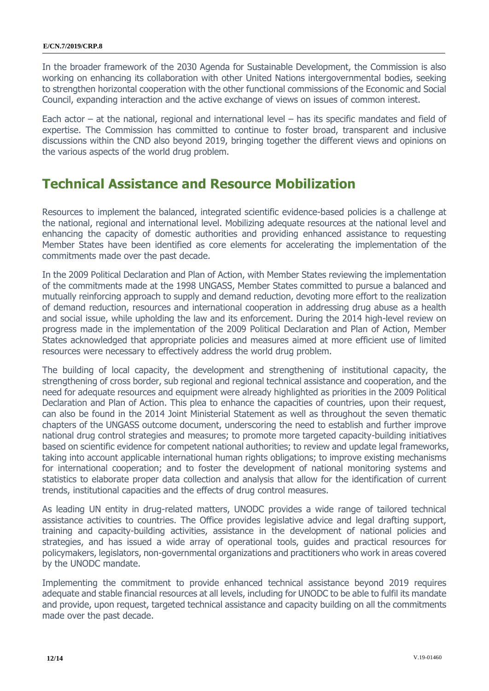In the broader framework of the 2030 Agenda for Sustainable Development, the Commission is also working on enhancing its collaboration with other United Nations intergovernmental bodies, seeking to strengthen horizontal cooperation with the other functional commissions of the Economic and Social Council, expanding interaction and the active exchange of views on issues of common interest.

Each actor  $-$  at the national, regional and international level  $-$  has its specific mandates and field of expertise. The Commission has committed to continue to foster broad, transparent and inclusive discussions within the CND also beyond 2019, bringing together the different views and opinions on the various aspects of the world drug problem.

#### **Technical Assistance and Resource Mobilization**

Resources to implement the balanced, integrated scientific evidence-based policies is a challenge at the national, regional and international level. Mobilizing adequate resources at the national level and enhancing the capacity of domestic authorities and providing enhanced assistance to requesting Member States have been identified as core elements for accelerating the implementation of the commitments made over the past decade.

In the 2009 Political Declaration and Plan of Action, with Member States reviewing the implementation of the commitments made at the 1998 UNGASS, Member States committed to pursue a balanced and mutually reinforcing approach to supply and demand reduction, devoting more effort to the realization of demand reduction, resources and international cooperation in addressing drug abuse as a health and social issue, while upholding the law and its enforcement. During the 2014 high-level review on progress made in the implementation of the 2009 Political Declaration and Plan of Action, Member States acknowledged that appropriate policies and measures aimed at more efficient use of limited resources were necessary to effectively address the world drug problem.

The building of local capacity, the development and strengthening of institutional capacity, the strengthening of cross border, sub regional and regional technical assistance and cooperation, and the need for adequate resources and equipment were already highlighted as priorities in the 2009 Political Declaration and Plan of Action. This plea to enhance the capacities of countries, upon their request, can also be found in the 2014 Joint Ministerial Statement as well as throughout the seven thematic chapters of the UNGASS outcome document, underscoring the need to establish and further improve national drug control strategies and measures; to promote more targeted capacity-building initiatives based on scientific evidence for competent national authorities; to review and update legal frameworks, taking into account applicable international human rights obligations; to improve existing mechanisms for international cooperation; and to foster the development of national monitoring systems and statistics to elaborate proper data collection and analysis that allow for the identification of current trends, institutional capacities and the effects of drug control measures.

As leading UN entity in drug-related matters, UNODC provides a wide range of tailored technical assistance activities to countries. The Office provides legislative advice and legal drafting support, training and capacity-building activities, assistance in the development of national policies and strategies, and has issued a wide array of operational tools, guides and practical resources for policymakers, legislators, non-governmental organizations and practitioners who work in areas covered by the UNODC mandate.

Implementing the commitment to provide enhanced technical assistance beyond 2019 requires adequate and stable financial resources at all levels, including for UNODC to be able to fulfil its mandate and provide, upon request, targeted technical assistance and capacity building on all the commitments made over the past decade.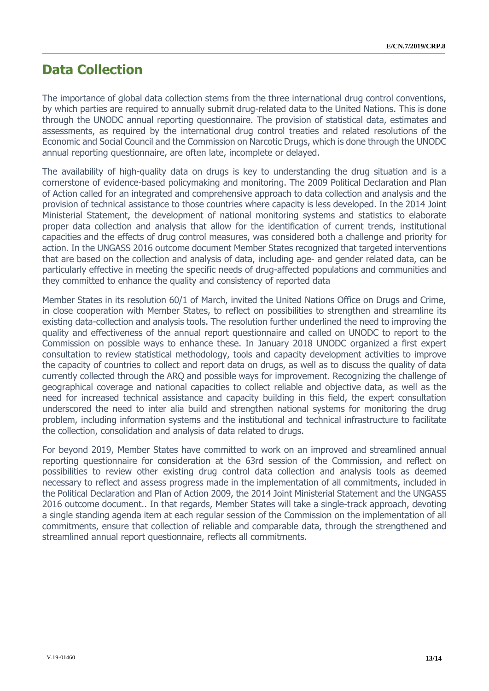#### **Data Collection**

The importance of global data collection stems from the three international drug control conventions, by which parties are required to annually submit drug-related data to the United Nations. This is done through the UNODC annual reporting questionnaire. The provision of statistical data, estimates and assessments, as required by the international drug control treaties and related resolutions of the Economic and Social Council and the Commission on Narcotic Drugs, which is done through the UNODC annual reporting questionnaire, are often late, incomplete or delayed.

The availability of high-quality data on drugs is key to understanding the drug situation and is a cornerstone of evidence-based policymaking and monitoring. The 2009 Political Declaration and Plan of Action called for an integrated and comprehensive approach to data collection and analysis and the provision of technical assistance to those countries where capacity is less developed. In the 2014 Joint Ministerial Statement, the development of national monitoring systems and statistics to elaborate proper data collection and analysis that allow for the identification of current trends, institutional capacities and the effects of drug control measures, was considered both a challenge and priority for action. In the UNGASS 2016 outcome document Member States recognized that targeted interventions that are based on the collection and analysis of data, including age- and gender related data, can be particularly effective in meeting the specific needs of drug-affected populations and communities and they committed to enhance the quality and consistency of reported data

Member States in its resolution 60/1 of March, invited the United Nations Office on Drugs and Crime, in close cooperation with Member States, to reflect on possibilities to strengthen and streamline its existing data-collection and analysis tools. The resolution further underlined the need to improving the quality and effectiveness of the annual report questionnaire and called on UNODC to report to the Commission on possible ways to enhance these. In January 2018 UNODC organized a first expert consultation to review statistical methodology, tools and capacity development activities to improve the capacity of countries to collect and report data on drugs, as well as to discuss the quality of data currently collected through the ARQ and possible ways for improvement. Recognizing the challenge of geographical coverage and national capacities to collect reliable and objective data, as well as the need for increased technical assistance and capacity building in this field, the expert consultation underscored the need to inter alia build and strengthen national systems for monitoring the drug problem, including information systems and the institutional and technical infrastructure to facilitate the collection, consolidation and analysis of data related to drugs.

For beyond 2019, Member States have committed to work on an improved and streamlined annual reporting questionnaire for consideration at the 63rd session of the Commission, and reflect on possibilities to review other existing drug control data collection and analysis tools as deemed necessary to reflect and assess progress made in the implementation of all commitments, included in the Political Declaration and Plan of Action 2009, the 2014 Joint Ministerial Statement and the UNGASS 2016 outcome document.. In that regards, Member States will take a single-track approach, devoting a single standing agenda item at each regular session of the Commission on the implementation of all commitments, ensure that collection of reliable and comparable data, through the strengthened and streamlined annual report questionnaire, reflects all commitments.